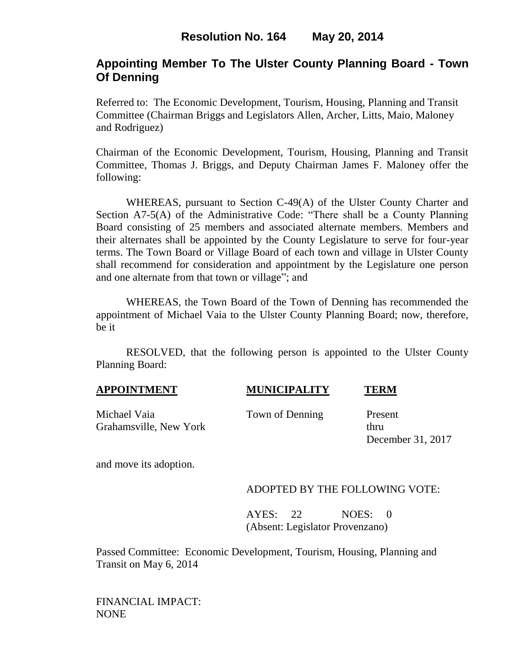# **Appointing Member To The Ulster County Planning Board - Town Of Denning**

Referred to: The Economic Development, Tourism, Housing, Planning and Transit Committee (Chairman Briggs and Legislators Allen, Archer, Litts, Maio, Maloney and Rodriguez)

Chairman of the Economic Development, Tourism, Housing, Planning and Transit Committee, Thomas J. Briggs, and Deputy Chairman James F. Maloney offer the following:

WHEREAS, pursuant to Section C-49(A) of the Ulster County Charter and Section A7-5(A) of the Administrative Code: "There shall be a County Planning Board consisting of 25 members and associated alternate members. Members and their alternates shall be appointed by the County Legislature to serve for four-year terms. The Town Board or Village Board of each town and village in Ulster County shall recommend for consideration and appointment by the Legislature one person and one alternate from that town or village"; and

WHEREAS, the Town Board of the Town of Denning has recommended the appointment of Michael Vaia to the Ulster County Planning Board; now, therefore, be it

RESOLVED, that the following person is appointed to the Ulster County Planning Board:

| <b>APPOINTMENT</b> | <b>MUNICIPALITY</b> | <b>TERM</b> |
|--------------------|---------------------|-------------|
|                    |                     |             |

Michael Vaia Town of Denning Present Grahamsville, New York thru

December 31, 2017

and move its adoption.

### ADOPTED BY THE FOLLOWING VOTE:

AYES: 22 NOES: 0 (Absent: Legislator Provenzano)

Passed Committee: Economic Development, Tourism, Housing, Planning and Transit on May 6, 2014

FINANCIAL IMPACT: NONE